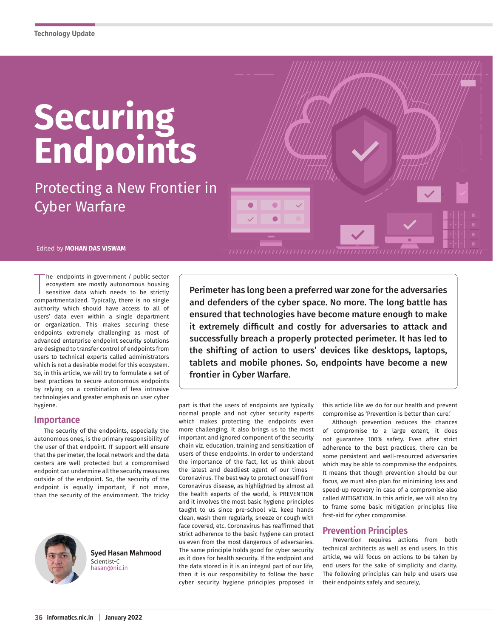# **Securing Endpoints**

Protecting a New Frontier in Cyber Warfare

Edited by **MOHAN DAS VISWAM**

The endpoints in government / public sector<br>ecosystem are mostly autonomous housing<br>sensitive data which needs to be strictly<br>compartmentalized. Typically, there is no single he endpoints in government / public sector ecosystem are mostly autonomous housing sensitive data which needs to be strictly authority which should have access to all of users' data even within a single department or organization. This makes securing these endpoints extremely challenging as most of advanced enterprise endpoint security solutions are designed to transfer control of endpoints from users to technical experts called administrators which is not a desirable model for this ecosystem. So, in this article, we will try to formulate a set of best practices to secure autonomous endpoints by relying on a combination of less intrusive technologies and greater emphasis on user cyber hygiene.

## **Importance**

The security of the endpoints, especially the autonomous ones, is the primary responsibility of the user of that endpoint. IT support will ensure that the perimeter, the local network and the data centers are well protected but a compromised endpoint can undermine all the security measures outside of the endpoint. So, the security of the endpoint is equally important, if not more, than the security of the environment. The tricky



**36 informatics.nic.in January 2022**

**Syed Hasan Mahmood**  Scientist-C hasan@nic.in

Perimeter has long been a preferred war zone for the adversaries and defenders of the cyber space. No more. The long battle has ensured that technologies have become mature enough to make it extremely difficult and costly for adversaries to attack and successfully breach a properly protected perimeter. It has led to the shifting of action to users' devices like desktops, laptops, tablets and mobile phones. So, endpoints have become a new frontier in Cyber Warfare.

<del>แบบนับแบบนับแบบแบบนับแบบแบบแบบนี</del>

part is that the users of endpoints are typically normal people and not cyber security experts which makes protecting the endpoints even more challenging. It also brings us to the most important and ignored component of the security chain viz. education, training and sensitization of users of these endpoints. In order to understand the importance of the fact, let us think about the latest and deadliest agent of our times – Coronavirus. The best way to protect oneself from Coronavirus disease, as highlighted by almost all the health experts of the world, is PREVENTION and it involves the most basic hygiene principles taught to us since pre-school viz. keep hands clean, wash them regularly, sneeze or cough with face covered, etc. Coronavirus has reaffirmed that strict adherence to the basic hygiene can protect us even from the most dangerous of adversaries. The same principle holds good for cyber security as it does for health security. If the endpoint and the data stored in it is an integral part of our life, then it is our responsibility to follow the basic cyber security hygiene principles proposed in

this article like we do for our health and prevent compromise as 'Prevention is better than cure.'

Although prevention reduces the chances of compromise to a large extent, it does not guarantee 100% safety. Even after strict adherence to the best practices, there can be some persistent and well-resourced adversaries which may be able to compromise the endpoints. It means that though prevention should be our focus, we must also plan for minimizing loss and speed-up recovery in case of a compromise also called MITIGATION. In this article, we will also try to frame some basic mitigation principles like first-aid for cyber compromise.

# **Prevention Principles**

Prevention requires actions from both technical architects as well as end users. In this article, we will focus on actions to be taken by end users for the sake of simplicity and clarity. The following principles can help end users use their endpoints safely and securely,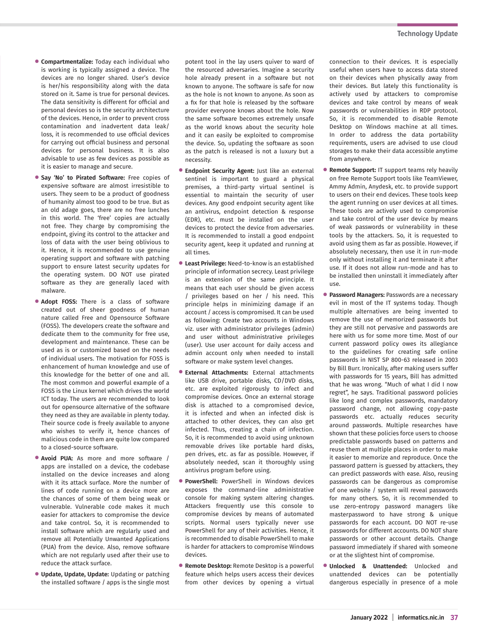- **• Compartmentalize:** Today each individual who is working is typically assigned a device. The devices are no longer shared. User's device is her/his responsibility along with the data stored on it. Same is true for personal devices. The data sensitivity is different for official and personal devices so is the security architecture of the devices. Hence, in order to prevent cross contamination and inadvertent data leak/ loss, it is recommended to use official devices for carrying out official business and personal devices for personal business. It is also advisable to use as few devices as possible as it is easier to manage and secure.
- **• Say 'No' to Pirated Software:** Free copies of expensive software are almost irresistible to users. They seem to be a product of goodness of humanity almost too good to be true. But as an old adage goes, there are no free lunches in this world. The 'free' copies are actually not free. They charge by compromising the endpoint, giving its control to the attacker and loss of data with the user being oblivious to it. Hence, it is recommended to use genuine operating support and software with patching support to ensure latest security updates for the operating system. DO NOT use pirated software as they are generally laced with malware.
- **• Adopt FOSS:** There is a class of software created out of sheer goodness of human nature called Free and Opensource Software (FOSS). The developers create the software and dedicate them to the community for free use, development and maintenance. These can be used as is or customized based on the needs of individual users. The motivation for FOSS is enhancement of human knowledge and use of this knowledge for the better of one and all. The most common and powerful example of a FOSS is the Linux kernel which drives the world ICT today. The users are recommended to look out for opensource alternative of the software they need as they are available in plenty today. Their source code is freely available to anyone who wishes to verify it, hence chances of malicious code in them are quite low compared to a closed-source software.
- **• Avoid PUA:** As more and more software / apps are installed on a device, the codebase installed on the device increases and along with it its attack surface. More the number of lines of code running on a device more are the chances of some of them being weak or vulnerable. Vulnerable code makes it much easier for attackers to compromise the device and take control. So, it is recommended to install software which are regularly used and remove all Potentially Unwanted Applications (PUA) from the device. Also, remove software which are not regularly used after their use to reduce the attack surface.
- **• Update, Update, Update:** Updating or patching the installed software / apps is the single most

potent tool in the lay users quiver to ward of the resourced adversaries. Imagine a security hole already present in a software but not known to anyone. The software is safe for now as the hole is not known to anyone. As soon as a fix for that hole is released by the software provider everyone knows about the hole. Now the same software becomes extremely unsafe as the world knows about the security hole and it can easily be exploited to compromise the device. So, updating the software as soon as the patch is released is not a luxury but a necessity.

- **• Endpoint Security Agent:** Just like an external sentinel is important to guard a physical premises, a third-party virtual sentinel is essential to maintain the security of user devices. Any good endpoint security agent like an antivirus, endpoint detection & response (EDR), etc. must be installed on the user devices to protect the device from adversaries. It is recommended to install a good endpoint security agent, keep it updated and running at all times.
- **• Least Privilege:** Need-to-know is an established principle of information secrecy. Least privilege is an extension of the same principle. It means that each user should be given access / privileges based on her / his need. This principle helps in minimizing damage if an account / access is compromised. It can be used as following: Create two accounts in Windows viz. user with administrator privileges (admin) and user without administrative privileges (user). Use user account for daily access and admin account only when needed to install software or make system level changes.
- **• External Attachments:** External attachments like USB drive, portable disks, CD/DVD disks, etc. are exploited rigorously to infect and compromise devices. Once an external storage disk is attached to a compromised device, it is infected and when an infected disk is attached to other devices, they can also get infected. Thus, creating a chain of infection. So, it is recommended to avoid using unknown removable drives like portable hard disks, pen drives, etc. as far as possible. However, if absolutely needed, scan it thoroughly using antivirus program before using.
- **• PowerShell:** PowerShell in Windows devices exposes the command-line administrative console for making system altering changes. Attackers frequently use this console to compromise devices by means of automated scripts. Normal users typically never use PowerShell for any of their activities. Hence, it is recommended to disable PowerShell to make is harder for attackers to compromise Windows devices.
- **• Remote Desktop:** Remote Desktop is a powerful feature which helps users access their devices from other devices by opening a virtual

connection to their devices. It is especially useful when users have to access data stored on their devices when physically away from their devices. But lately this functionality is actively used by attackers to compromise devices and take control by means of weak passwords or vulnerabilities in RDP protocol. So, it is recommended to disable Remote Desktop on Windows machine at all times. In order to address the data portability requirements, users are advised to use cloud storages to make their data accessible anytime from anywhere.

- **• Remote Support:** IT support teams rely heavily on free Remote Support tools like TeamViewer, Ammy Admin, Anydesk, etc. to provide support to users on their end devices. These tools keep the agent running on user devices at all times. These tools are actively used to compromise and take control of the user device by means of weak passwords or vulnerability in these tools by the attackers. So, it is requested to avoid using them as far as possible. However, if absolutely necessary, then use it in run-mode only without installing it and terminate it after use. If it does not allow run-mode and has to be installed then uninstall it immediately after use.
- **• Password Managers:** Passwords are a necessary evil in most of the IT systems today. Though multiple alternatives are being invented to remove the use of memorized passwords but they are still not pervasive and passwords are here with us for some more time. Most of our current password policy owes its allegiance to the guidelines for creating safe online passwords in NIST SP 800-63 released in 2003 by Bill Burr. Ironically, after making users suffer with passwords for 15 years, Bill has admitted that he was wrong. "Much of what I did I now regret", he says. Traditional password policies like long and complex passwords, mandatory password change, not allowing copy-paste passwords etc. actually reduces security around passwords. Multiple researches have shown that these policies force users to choose predictable passwords based on patterns and reuse them at multiple places in order to make it easier to memorize and reproduce. Once the password pattern is guessed by attackers, they can predict passwords with ease. Also, reusing passwords can be dangerous as compromise of one website / system will reveal passwords for many others. So, it is recommended to use zero-entropy password managers like masterpassword to have strong & unique passwords for each account. DO NOT re-use passwords for different accounts. DO NOT share passwords or other account details. Change password immediately if shared with someone or at the slightest hint of compromise.
- **• Unlocked & Unattended:** Unlocked and unattended devices can be potentially dangerous especially in presence of a mole